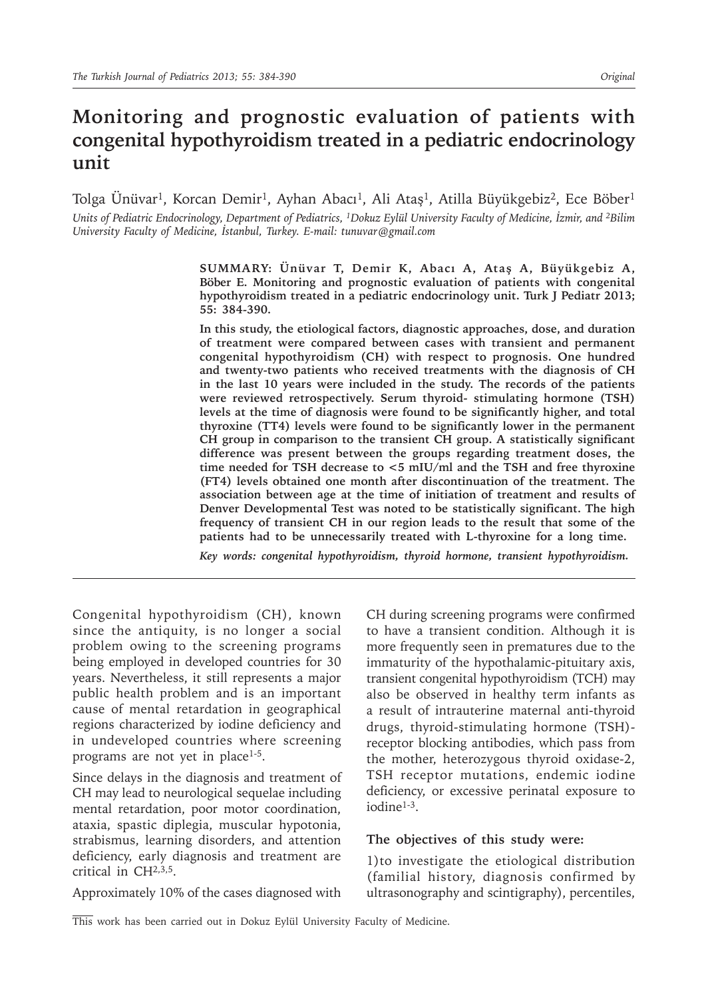# **Monitoring and prognostic evaluation of patients with congenital hypothyroidism treated in a pediatric endocrinology unit**

Tolga Ünüvar1, Korcan Demir1, Ayhan Abacı1, Ali Ataş1, Atilla Büyükgebiz2, Ece Böber<sup>1</sup> *Units of Pediatric Endocrinology, Department of Pediatrics, <sup>1</sup>Dokuz Eylül University Faculty of Medicine, İzmir, and 2Bilim University Faculty of Medicine, İstanbul, Turkey. E-mail: tunuvar@gmail.com*

> **SUMMARY: Ünüvar T, Demir K, Abacı A, Ataş A, Büyükgebiz A, Böber E. Monitoring and prognostic evaluation of patients with congenital hypothyroidism treated in a pediatric endocrinology unit. Turk J Pediatr 2013; 55: 384-390.**

> **In this study, the etiological factors, diagnostic approaches, dose, and duration of treatment were compared between cases with transient and permanent congenital hypothyroidism (CH) with respect to prognosis. One hundred and twenty-two patients who received treatments with the diagnosis of CH in the last 10 years were included in the study. The records of the patients were reviewed retrospectively. Serum thyroid- stimulating hormone (TSH) levels at the time of diagnosis were found to be significantly higher, and total thyroxine (TT4) levels were found to be significantly lower in the permanent CH group in comparison to the transient CH group. A statistically significant difference was present between the groups regarding treatment doses, the time needed for TSH decrease to <5 mIU/ml and the TSH and free thyroxine (FT4) levels obtained one month after discontinuation of the treatment. The association between age at the time of initiation of treatment and results of Denver Developmental Test was noted to be statistically significant. The high frequency of transient CH in our region leads to the result that some of the patients had to be unnecessarily treated with L-thyroxine for a long time.**

*Key words: congenital hypothyroidism, thyroid hormone, transient hypothyroidism.*

Congenital hypothyroidism (CH), known since the antiquity, is no longer a social problem owing to the screening programs being employed in developed countries for 30 years. Nevertheless, it still represents a major public health problem and is an important cause of mental retardation in geographical regions characterized by iodine deficiency and in undeveloped countries where screening programs are not yet in place<sup>1-5</sup>.

Since delays in the diagnosis and treatment of CH may lead to neurological sequelae including mental retardation, poor motor coordination, ataxia, spastic diplegia, muscular hypotonia, strabismus, learning disorders, and attention deficiency, early diagnosis and treatment are critical in CH2,3,5.

Approximately 10% of the cases diagnosed with

CH during screening programs were confirmed to have a transient condition. Although it is more frequently seen in prematures due to the immaturity of the hypothalamic-pituitary axis, transient congenital hypothyroidism (TCH) may also be observed in healthy term infants as a result of intrauterine maternal anti-thyroid drugs, thyroid-stimulating hormone (TSH) receptor blocking antibodies, which pass from the mother, heterozygous thyroid oxidase-2, TSH receptor mutations, endemic iodine deficiency, or excessive perinatal exposure to iodine1-3.

### **The objectives of this study were:**

1)to investigate the etiological distribution (familial history, diagnosis confirmed by ultrasonography and scintigraphy), percentiles,

This work has been carried out in Dokuz Eylül University Faculty of Medicine.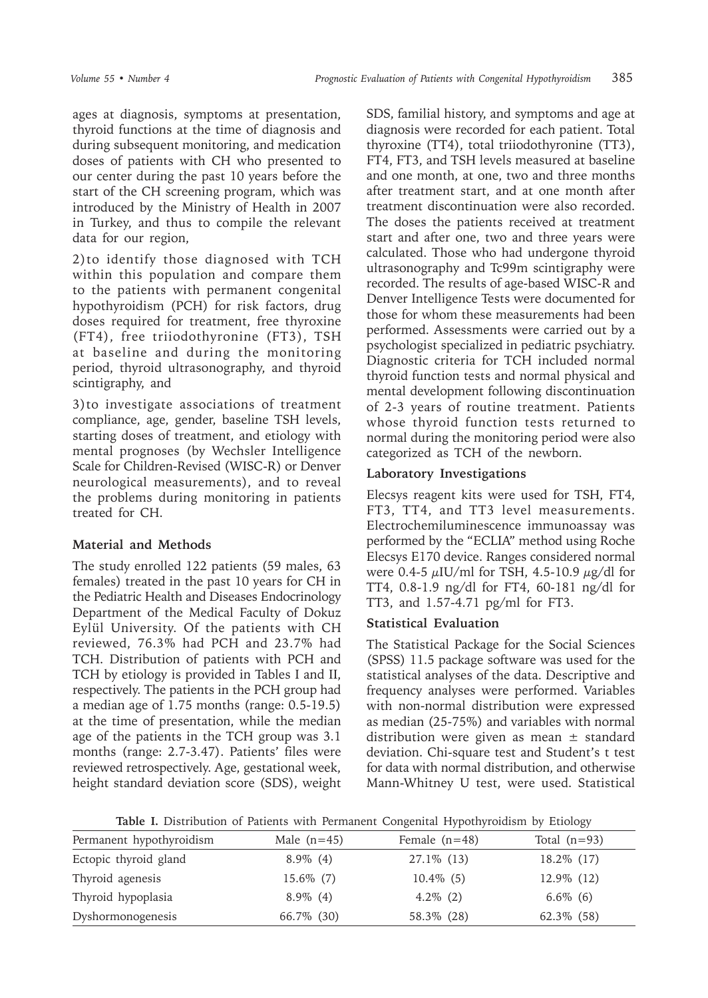ages at diagnosis, symptoms at presentation, thyroid functions at the time of diagnosis and during subsequent monitoring, and medication doses of patients with CH who presented to our center during the past 10 years before the start of the CH screening program, which was introduced by the Ministry of Health in 2007 in Turkey, and thus to compile the relevant data for our region,

2)to identify those diagnosed with TCH within this population and compare them to the patients with permanent congenital hypothyroidism (PCH) for risk factors, drug doses required for treatment, free thyroxine (FT4), free triiodothyronine (FT3), TSH at baseline and during the monitoring period, thyroid ultrasonography, and thyroid scintigraphy, and

3)to investigate associations of treatment compliance, age, gender, baseline TSH levels, starting doses of treatment, and etiology with mental prognoses (by Wechsler Intelligence Scale for Children-Revised (WISC-R) or Denver neurological measurements), and to reveal the problems during monitoring in patients treated for CH.

# **Material and Methods**

The study enrolled 122 patients (59 males, 63 females) treated in the past 10 years for CH in the Pediatric Health and Diseases Endocrinology Department of the Medical Faculty of Dokuz Eylül University. Of the patients with CH reviewed, 76.3% had PCH and 23.7% had TCH. Distribution of patients with PCH and TCH by etiology is provided in Tables I and II, respectively. The patients in the PCH group had a median age of 1.75 months (range: 0.5-19.5) at the time of presentation, while the median age of the patients in the TCH group was 3.1 months (range: 2.7-3.47). Patients' files were reviewed retrospectively. Age, gestational week, height standard deviation score (SDS), weight

SDS, familial history, and symptoms and age at diagnosis were recorded for each patient. Total thyroxine (TT4), total triiodothyronine (TT3), FT4, FT3, and TSH levels measured at baseline and one month, at one, two and three months after treatment start, and at one month after treatment discontinuation were also recorded. The doses the patients received at treatment start and after one, two and three years were calculated. Those who had undergone thyroid ultrasonography and Tc99m scintigraphy were recorded. The results of age-based WISC-R and Denver Intelligence Tests were documented for those for whom these measurements had been performed. Assessments were carried out by a psychologist specialized in pediatric psychiatry. Diagnostic criteria for TCH included normal thyroid function tests and normal physical and mental development following discontinuation of 2-3 years of routine treatment. Patients whose thyroid function tests returned to normal during the monitoring period were also categorized as TCH of the newborn.

# **Laboratory Investigations**

Elecsys reagent kits were used for TSH, FT4, FT3, TT4, and TT3 level measurements. Electrochemiluminescence immunoassay was performed by the "ECLIA" method using Roche Elecsys E170 device. Ranges considered normal were 0.4-5  $\mu$ IU/ml for TSH, 4.5-10.9  $\mu$ g/dl for TT4, 0.8-1.9 ng/dl for FT4, 60-181 ng/dl for TT3, and 1.57-4.71 pg/ml for FT3.

# **Statistical Evaluation**

The Statistical Package for the Social Sciences (SPSS) 11.5 package software was used for the statistical analyses of the data. Descriptive and frequency analyses were performed. Variables with non-normal distribution were expressed as median (25-75%) and variables with normal distribution were given as mean  $\pm$  standard deviation. Chi-square test and Student's t test for data with normal distribution, and otherwise Mann-Whitney U test, were used. Statistical

**Table I.** Distribution of Patients with Permanent Congenital Hypothyroidism by Etiology

| Permanent hypothyroidism | Male $(n=45)$ | Female $(n=48)$ | Total $(n=93)$ |
|--------------------------|---------------|-----------------|----------------|
| Ectopic thyroid gland    | $8.9\%$ (4)   | 27.1\% (13)     | 18.2% (17)     |
| Thyroid agenesis         | $15.6\%$ (7)  | $10.4\%$ (5)    | 12.9% (12)     |
| Thyroid hypoplasia       | $8.9\%$ (4)   | $4.2\%$ (2)     | $6.6\%$ (6)    |
| Dyshormonogenesis        | 66.7\% (30)   | 58.3% (28)      | 62.3\% (58)    |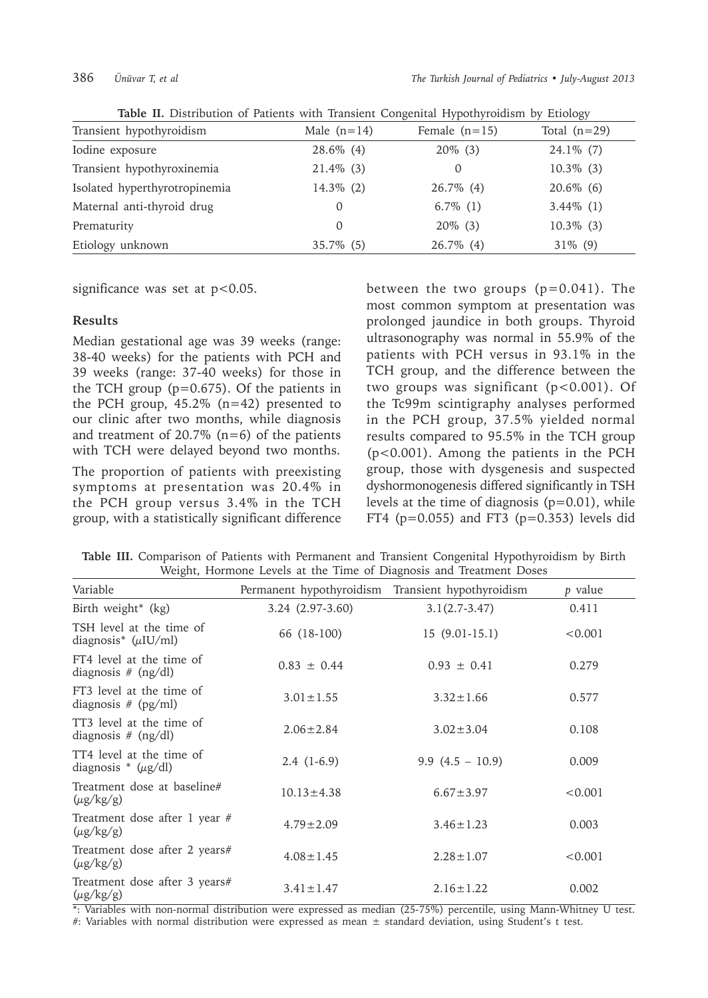|                               |               |                 | $    \alpha$   |
|-------------------------------|---------------|-----------------|----------------|
| Transient hypothyroidism      | Male $(n=14)$ | Female $(n=15)$ | Total $(n=29)$ |
| Iodine exposure               | $28.6\%$ (4)  | $20\%$ (3)      | $24.1\%$ (7)   |
| Transient hypothyroxinemia    | $21.4\%$ (3)  | $\Omega$        | $10.3\%$ (3)   |
| Isolated hyperthyrotropinemia | $14.3\%$ (2)  | $26.7\%$ (4)    | $20.6\%$ (6)   |
| Maternal anti-thyroid drug    | O             | $6.7\%$ (1)     | $3.44\%$ (1)   |
| Prematurity                   | $\Omega$      | $20\%$ (3)      | $10.3\%$ (3)   |
| Etiology unknown              | $35.7\%$ (5)  | 26.7% (4)       | $31\%$ (9)     |

**Table II.** Distribution of Patients with Transient Congenital Hypothyroidism by Etiology

significance was set at  $p < 0.05$ .

### **Results**

Median gestational age was 39 weeks (range: 38-40 weeks) for the patients with PCH and 39 weeks (range: 37-40 weeks) for those in the TCH group  $(p=0.675)$ . Of the patients in the PCH group,  $45.2\%$  (n=42) presented to our clinic after two months, while diagnosis and treatment of 20.7%  $(n=6)$  of the patients with TCH were delayed beyond two months.

The proportion of patients with preexisting symptoms at presentation was 20.4% in the PCH group versus 3.4% in the TCH group, with a statistically significant difference between the two groups  $(p=0.041)$ . The most common symptom at presentation was prolonged jaundice in both groups. Thyroid ultrasonography was normal in 55.9% of the patients with PCH versus in 93.1% in the TCH group, and the difference between the two groups was significant  $(p<0.001)$ . Of the Tc99m scintigraphy analyses performed in the PCH group, 37.5% yielded normal results compared to 95.5% in the TCH group (p<0.001). Among the patients in the PCH group, those with dysgenesis and suspected dyshormonogenesis differed significantly in TSH levels at the time of diagnosis (p=0.01), while FT4 ( $p=0.055$ ) and FT3 ( $p=0.353$ ) levels did

**Table III.** Comparison of Patients with Permanent and Transient Congenital Hypothyroidism by Birth Weight, Hormone Levels at the Time of Diagnosis and Treatment Doses

| Variable                                             | Permanent hypothyroidism | Transient hypothyroidism | p value |
|------------------------------------------------------|--------------------------|--------------------------|---------|
| Birth weight* (kg)                                   | 3.24 (2.97-3.60)         | $3.1(2.7-3.47)$          | 0.411   |
| TSH level at the time of<br>diagnosis* $(\mu$ IU/ml) | 66 (18-100)              | $15(9.01-15.1)$          | < 0.001 |
| FT4 level at the time of<br>diagnosis $#$ (ng/dl)    | $0.83 \pm 0.44$          | $0.93 \pm 0.41$          | 0.279   |
| FT3 level at the time of<br>diagnosis $# (pg/ml)$    | $3.01 \pm 1.55$          | $3.32 \pm 1.66$          | 0.577   |
| TT3 level at the time of<br>diagnosis $#$ (ng/dl)    | $2.06 \pm 2.84$          | $3.02 \pm 3.04$          | 0.108   |
| TT4 level at the time of<br>diagnosis * $(\mu g/dl)$ | $2.4(1-6.9)$             | 9.9 $(4.5 - 10.9)$       | 0.009   |
| Treatment dose at baseline#<br>$(\mu g/kg/g)$        | $10.13 \pm 4.38$         | $6.67 \pm 3.97$          | < 0.001 |
| Treatment dose after 1 year #<br>$(\mu g/kg/g)$      | $4.79 \pm 2.09$          | $3.46 \pm 1.23$          | 0.003   |
| Treatment dose after 2 years#<br>$(\mu g/kg/g)$      | $4.08 \pm 1.45$          | $2.28 \pm 1.07$          | < 0.001 |
| Treatment dose after 3 years#<br>$(\mu g/kg/g)$      | $3.41 \pm 1.47$          | $2.16 \pm 1.22$          | 0.002   |

\*: Variables with non-normal distribution were expressed as median (25-75%) percentile, using Mann-Whitney U test.

#: Variables with normal distribution were expressed as mean ± standard deviation, using Student's t test.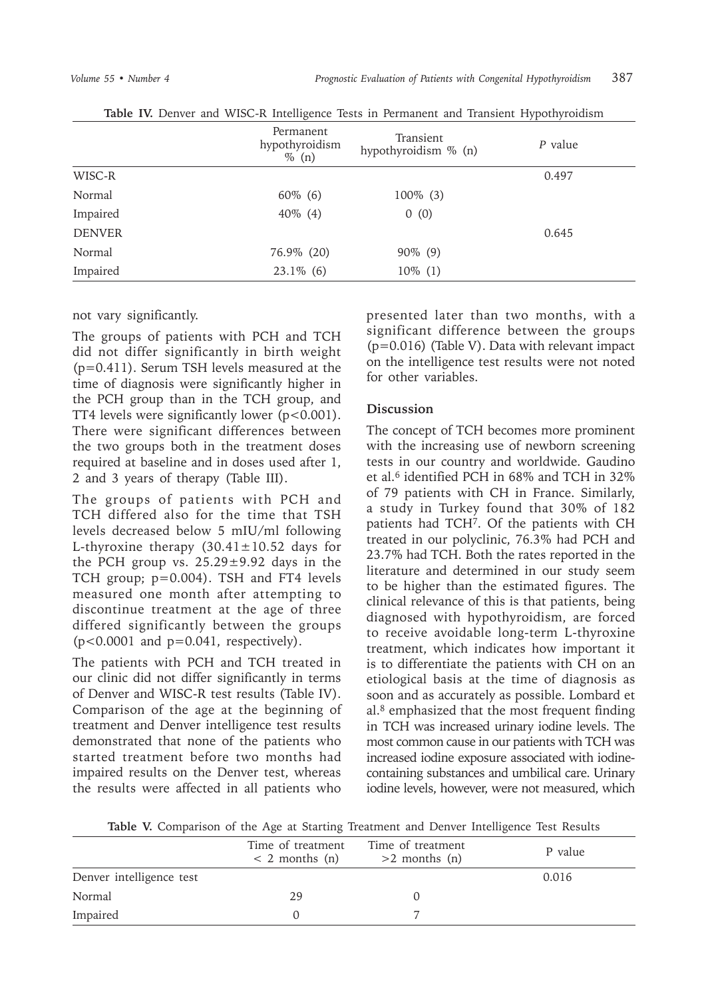|               | Permanent<br>hypothyroidism<br>$\%$ (n) | Transient<br>hypothyroidism % (n) | P value |
|---------------|-----------------------------------------|-----------------------------------|---------|
| WISC-R        |                                         |                                   | 0.497   |
| Normal        | $60\%$ (6)                              | $100\%$ (3)                       |         |
| Impaired      | $40\%$ (4)                              | 0(0)                              |         |
| <b>DENVER</b> |                                         |                                   | 0.645   |
| Normal        | 76.9% (20)                              | $90\%$ (9)                        |         |
| Impaired      | $23.1\%$ (6)                            | $10\%$ (1)                        |         |

**Table IV.** Denver and WISC-R Intelligence Tests in Permanent and Transient Hypothyroidism

not vary significantly.

The groups of patients with PCH and TCH did not differ significantly in birth weight (p=0.411). Serum TSH levels measured at the time of diagnosis were significantly higher in the PCH group than in the TCH group, and TT4 levels were significantly lower (p<0.001). There were significant differences between the two groups both in the treatment doses required at baseline and in doses used after 1, 2 and 3 years of therapy (Table III).

The groups of patients with PCH and TCH differed also for the time that TSH levels decreased below 5 mIU/ml following L-thyroxine therapy  $(30.41 \pm 10.52$  days for the PCH group vs.  $25.29 \pm 9.92$  days in the TCH group; p=0.004). TSH and FT4 levels measured one month after attempting to discontinue treatment at the age of three differed significantly between the groups  $(p<0.0001$  and  $p=0.041$ , respectively).

The patients with PCH and TCH treated in our clinic did not differ significantly in terms of Denver and WISC-R test results (Table IV). Comparison of the age at the beginning of treatment and Denver intelligence test results demonstrated that none of the patients who started treatment before two months had impaired results on the Denver test, whereas the results were affected in all patients who

presented later than two months, with a significant difference between the groups (p=0.016) (Table V). Data with relevant impact on the intelligence test results were not noted for other variables.

## **Discussion**

The concept of TCH becomes more prominent with the increasing use of newborn screening tests in our country and worldwide. Gaudino et al.<sup>6</sup> identified PCH in 68% and TCH in 32% of 79 patients with CH in France. Similarly, a study in Turkey found that 30% of 182 patients had TCH7. Of the patients with CH treated in our polyclinic, 76.3% had PCH and 23.7% had TCH. Both the rates reported in the literature and determined in our study seem to be higher than the estimated figures. The clinical relevance of this is that patients, being diagnosed with hypothyroidism, are forced to receive avoidable long-term L-thyroxine treatment, which indicates how important it is to differentiate the patients with CH on an etiological basis at the time of diagnosis as soon and as accurately as possible. Lombard et al.8 emphasized that the most frequent finding in TCH was increased urinary iodine levels. The most common cause in our patients with TCH was increased iodine exposure associated with iodinecontaining substances and umbilical care. Urinary iodine levels, however, were not measured, which

**Table V.** Comparison of the Age at Starting Treatment and Denver Intelligence Test Results

|                          | Time of treatment<br>$< 2$ months (n) | Time of treatment<br>$>2$ months (n) | P value |
|--------------------------|---------------------------------------|--------------------------------------|---------|
| Denver intelligence test |                                       |                                      | 0.016   |
| Normal                   | 29                                    |                                      |         |
| Impaired                 |                                       |                                      |         |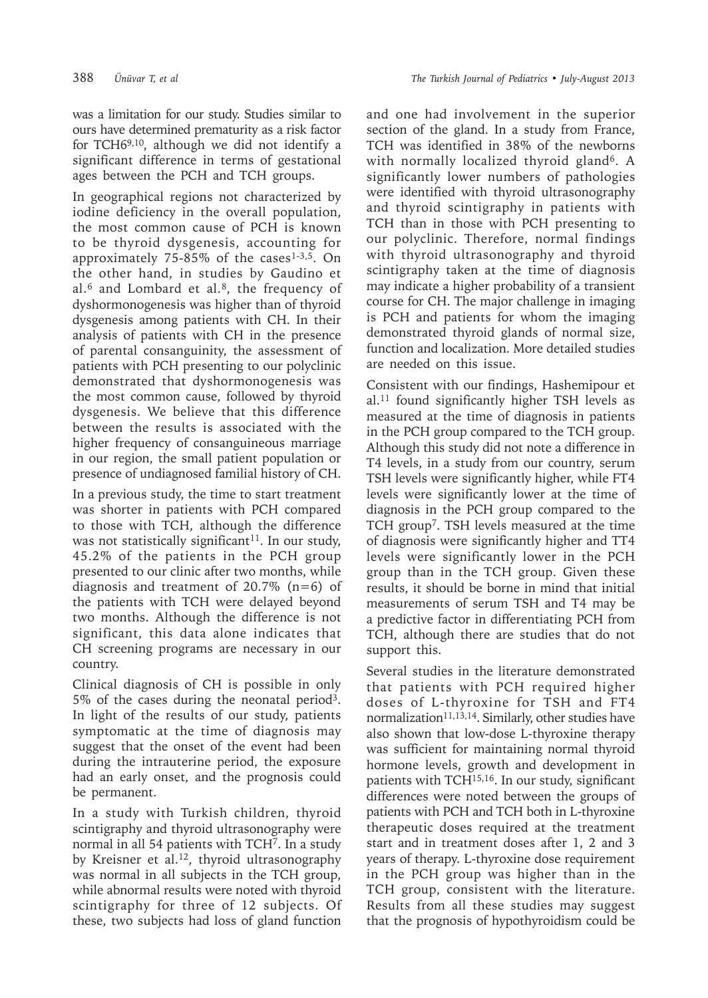was a limitation for our study. Studies similar to ours have determined prematurity as a risk factor for TCH69,10, although we did not identify a significant difference in terms of gestational ages between the PCH and TCH groups.

In geographical regions not characterized by iodine deficiency in the overall population, the most common cause of PCH is known to be thyroid dysgenesis, accounting for approximately  $75-85\%$  of the cases<sup>1-3,5</sup>. On the other hand, in studies by Gaudino et al. $6$  and Lombard et al. $8$ , the frequency of dyshormonogenesis was higher than of thyroid dysgenesis among patients with CH. In their analysis of patients with CH in the presence of parental consanguinity, the assessment of patients with PCH presenting to our polyclinic demonstrated that dyshormonogenesis was the most common cause, followed by thyroid dysgenesis. We believe that this difference between the results is associated with the higher frequency of consanguineous marriage in our region, the small patient population or presence of undiagnosed familial history of CH.

In a previous study, the time to start treatment was shorter in patients with PCH compared to those with TCH, although the difference was not statistically significant<sup>11</sup>. In our study, 45.2% of the patients in the PCH group presented to our clinic after two months, while diagnosis and treatment of 20.7%  $(n=6)$  of the patients with TCH were delayed beyond two months. Although the difference is not significant, this data alone indicates that CH screening programs are necessary in our country.

Clinical diagnosis of CH is possible in only 5% of the cases during the neonatal period3. In light of the results of our study, patients symptomatic at the time of diagnosis may suggest that the onset of the event had been during the intrauterine period, the exposure had an early onset, and the prognosis could be permanent.

In a study with Turkish children, thyroid scintigraphy and thyroid ultrasonography were normal in all 54 patients with TCH7. In a study by Kreisner et al.<sup>12</sup>, thyroid ultrasonography was normal in all subjects in the TCH group, while abnormal results were noted with thyroid scintigraphy for three of 12 subjects. Of these, two subjects had loss of gland function

and one had involvement in the superior section of the gland. In a study from France, TCH was identified in 38% of the newborns with normally localized thyroid gland<sup>6</sup>. A significantly lower numbers of pathologies were identified with thyroid ultrasonography and thyroid scintigraphy in patients with TCH than in those with PCH presenting to our polyclinic. Therefore, normal findings with thyroid ultrasonography and thyroid scintigraphy taken at the time of diagnosis may indicate a higher probability of a transient course for CH. The major challenge in imaging is PCH and patients for whom the imaging demonstrated thyroid glands of normal size, function and localization. More detailed studies are needed on this issue.

Consistent with our findings, Hashemipour et al.11 found significantly higher TSH levels as measured at the time of diagnosis in patients in the PCH group compared to the TCH group. Although this study did not note a difference in T4 levels, in a study from our country, serum TSH levels were significantly higher, while FT4 levels were significantly lower at the time of diagnosis in the PCH group compared to the TCH group<sup>7</sup>. TSH levels measured at the time of diagnosis were significantly higher and TT4 levels were significantly lower in the PCH group than in the TCH group. Given these results, it should be borne in mind that initial measurements of serum TSH and T4 may be a predictive factor in differentiating PCH from TCH, although there are studies that do not support this.

Several studies in the literature demonstrated that patients with PCH required higher doses of L-thyroxine for TSH and FT4 normalization<sup>11,13,14</sup>. Similarly, other studies have also shown that low-dose L-thyroxine therapy was sufficient for maintaining normal thyroid hormone levels, growth and development in patients with TCH15,16. In our study, significant differences were noted between the groups of patients with PCH and TCH both in L-thyroxine therapeutic doses required at the treatment start and in treatment doses after 1, 2 and 3 years of therapy. L-thyroxine dose requirement in the PCH group was higher than in the TCH group, consistent with the literature. Results from all these studies may suggest that the prognosis of hypothyroidism could be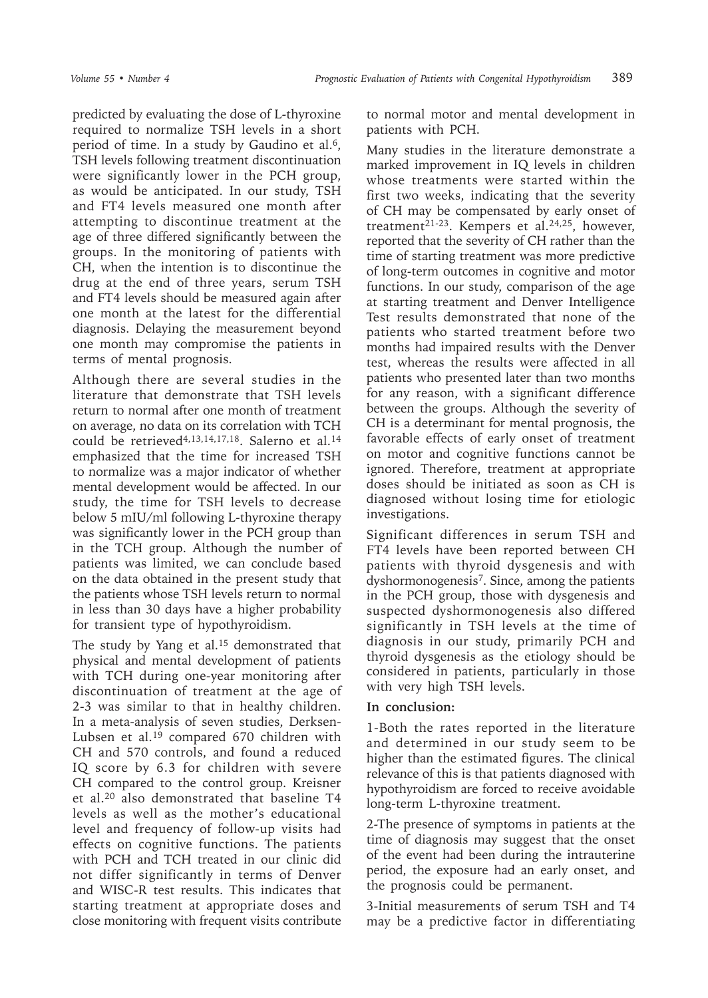predicted by evaluating the dose of L-thyroxine required to normalize TSH levels in a short period of time. In a study by Gaudino et al.<sup>6</sup>, TSH levels following treatment discontinuation were significantly lower in the PCH group, as would be anticipated. In our study, TSH and FT4 levels measured one month after attempting to discontinue treatment at the age of three differed significantly between the groups. In the monitoring of patients with CH, when the intention is to discontinue the drug at the end of three years, serum TSH and FT4 levels should be measured again after one month at the latest for the differential diagnosis. Delaying the measurement beyond one month may compromise the patients in terms of mental prognosis.

Although there are several studies in the literature that demonstrate that TSH levels return to normal after one month of treatment on average, no data on its correlation with TCH could be retrieved<sup>4,13,14,17,18</sup>. Salerno et al.<sup>14</sup> emphasized that the time for increased TSH to normalize was a major indicator of whether mental development would be affected. In our study, the time for TSH levels to decrease below 5 mIU/ml following L-thyroxine therapy was significantly lower in the PCH group than in the TCH group. Although the number of patients was limited, we can conclude based on the data obtained in the present study that the patients whose TSH levels return to normal in less than 30 days have a higher probability for transient type of hypothyroidism.

The study by Yang et al.<sup>15</sup> demonstrated that physical and mental development of patients with TCH during one-year monitoring after discontinuation of treatment at the age of 2-3 was similar to that in healthy children. In a meta-analysis of seven studies, Derksen-Lubsen et al.<sup>19</sup> compared 670 children with CH and 570 controls, and found a reduced IQ score by 6.3 for children with severe CH compared to the control group. Kreisner et al.20 also demonstrated that baseline T4 levels as well as the mother's educational level and frequency of follow-up visits had effects on cognitive functions. The patients with PCH and TCH treated in our clinic did not differ significantly in terms of Denver and WISC-R test results. This indicates that starting treatment at appropriate doses and close monitoring with frequent visits contribute

to normal motor and mental development in patients with PCH.

Many studies in the literature demonstrate a marked improvement in IQ levels in children whose treatments were started within the first two weeks, indicating that the severity of CH may be compensated by early onset of treatment<sup>21-23</sup>. Kempers et al.<sup>24,25</sup>, however, reported that the severity of CH rather than the time of starting treatment was more predictive of long-term outcomes in cognitive and motor functions. In our study, comparison of the age at starting treatment and Denver Intelligence Test results demonstrated that none of the patients who started treatment before two months had impaired results with the Denver test, whereas the results were affected in all patients who presented later than two months for any reason, with a significant difference between the groups. Although the severity of CH is a determinant for mental prognosis, the favorable effects of early onset of treatment on motor and cognitive functions cannot be ignored. Therefore, treatment at appropriate doses should be initiated as soon as CH is diagnosed without losing time for etiologic investigations.

Significant differences in serum TSH and FT4 levels have been reported between CH patients with thyroid dysgenesis and with dyshormonogenesis7. Since, among the patients in the PCH group, those with dysgenesis and suspected dyshormonogenesis also differed significantly in TSH levels at the time of diagnosis in our study, primarily PCH and thyroid dysgenesis as the etiology should be considered in patients, particularly in those with very high TSH levels.

### **In conclusion:**

1-Both the rates reported in the literature and determined in our study seem to be higher than the estimated figures. The clinical relevance of this is that patients diagnosed with hypothyroidism are forced to receive avoidable long-term L-thyroxine treatment.

2-The presence of symptoms in patients at the time of diagnosis may suggest that the onset of the event had been during the intrauterine period, the exposure had an early onset, and the prognosis could be permanent.

3-Initial measurements of serum TSH and T4 may be a predictive factor in differentiating